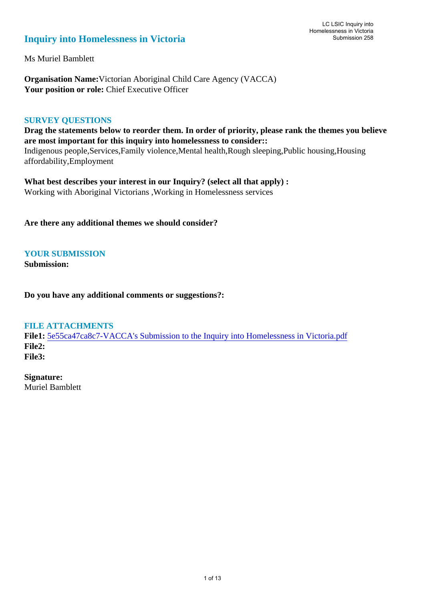# **Inquiry into Homelessness in Victoria**

Ms Muriel Bamblett

**Organisation Name:**Victorian Aboriginal Child Care Agency (VACCA) Your position or role: Chief Executive Officer

### **SURVEY QUESTIONS**

**Drag the statements below to reorder them. In order of priority, please rank the themes you believe are most important for this inquiry into homelessness to consider::**  Indigenous people,Services,Family violence,Mental health,Rough sleeping,Public housing,Housing affordability,Employment

**What best describes your interest in our Inquiry? (select all that apply) :**  Working with Aboriginal Victorians ,Working in Homelessness services

**Are there any additional themes we should consider?**

## **YOUR SUBMISSION**

**Submission:** 

**Do you have any additional comments or suggestions?:** 

#### **FILE ATTACHMENTS**

**File1:** [5e55ca47ca8c7-VACCA's Submission to the Inquiry into Homelessness in Victoria.pdf](https://www.parliament.vic.gov.au/component/rsform/submission-view-file/27dce1c19562e1ae87ed4e729c8eed8f/d8f12821c708b07a827c0cf8d43351ae?Itemid=527) **File2: File3:** 

**Signature:** Muriel Bamblett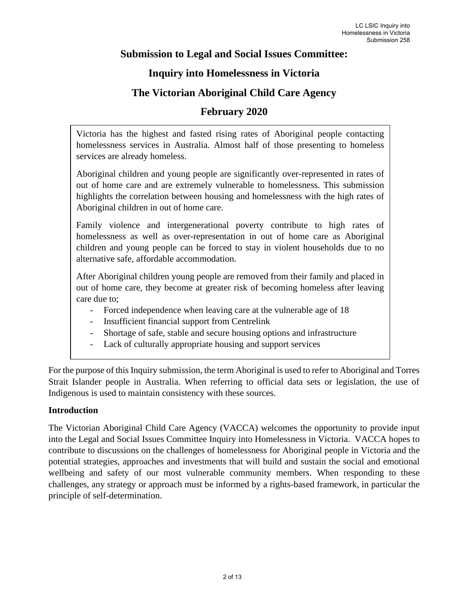## **Submission to Legal and Social Issues Committee:**

## **Inquiry into Homelessness in Victoria**

# **The Victorian Aboriginal Child Care Agency**

## **February 2020**

Victoria has the highest and fasted rising rates of Aboriginal people contacting homelessness services in Australia. Almost half of those presenting to homeless services are already homeless.

Aboriginal children and young people are significantly over-represented in rates of out of home care and are extremely vulnerable to homelessness. This submission highlights the correlation between housing and homelessness with the high rates of Aboriginal children in out of home care.

Family violence and intergenerational poverty contribute to high rates of homelessness as well as over-representation in out of home care as Aboriginal children and young people can be forced to stay in violent households due to no alternative safe, affordable accommodation.

After Aboriginal children young people are removed from their family and placed in out of home care, they become at greater risk of becoming homeless after leaving care due to;

- Forced independence when leaving care at the vulnerable age of 18
- Insufficient financial support from Centrelink
- Shortage of safe, stable and secure housing options and infrastructure
- Lack of culturally appropriate housing and support services

For the purpose of this Inquiry submission, the term Aboriginal is used to refer to Aboriginal and Torres Strait Islander people in Australia. When referring to official data sets or legislation, the use of Indigenous is used to maintain consistency with these sources.

## **Introduction**

The Victorian Aboriginal Child Care Agency (VACCA) welcomes the opportunity to provide input into the Legal and Social Issues Committee Inquiry into Homelessness in Victoria. VACCA hopes to contribute to discussions on the challenges of homelessness for Aboriginal people in Victoria and the potential strategies, approaches and investments that will build and sustain the social and emotional wellbeing and safety of our most vulnerable community members. When responding to these challenges, any strategy or approach must be informed by a rights-based framework, in particular the principle of self-determination.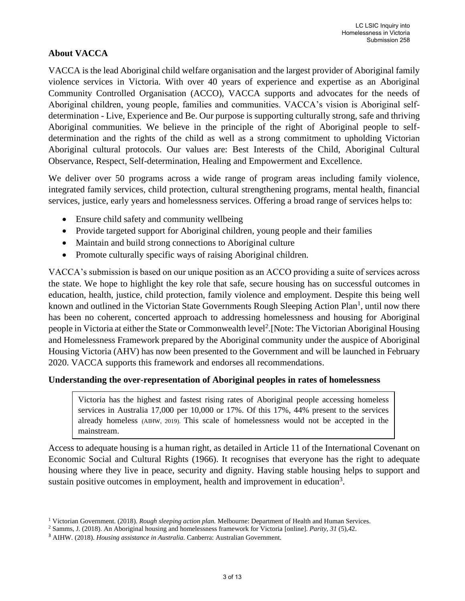## **About VACCA**

VACCA is the lead Aboriginal child welfare organisation and the largest provider of Aboriginal family violence services in Victoria. With over 40 years of experience and expertise as an Aboriginal Community Controlled Organisation (ACCO), VACCA supports and advocates for the needs of Aboriginal children, young people, families and communities. VACCA's vision is Aboriginal selfdetermination - Live, Experience and Be. Our purpose is supporting culturally strong, safe and thriving Aboriginal communities. We believe in the principle of the right of Aboriginal people to selfdetermination and the rights of the child as well as a strong commitment to upholding Victorian Aboriginal cultural protocols. Our values are: Best Interests of the Child, Aboriginal Cultural Observance, Respect, Self-determination, Healing and Empowerment and Excellence.

We deliver over 50 programs across a wide range of program areas including family violence, integrated family services, child protection, cultural strengthening programs, mental health, financial services, justice, early years and homelessness services. Offering a broad range of services helps to:

- Ensure child safety and community wellbeing
- Provide targeted support for Aboriginal children, young people and their families
- Maintain and build strong connections to Aboriginal culture
- Promote culturally specific ways of raising Aboriginal children.

VACCA's submission is based on our unique position as an ACCO providing a suite of services across the state. We hope to highlight the key role that safe, secure housing has on successful outcomes in education, health, justice, child protection, family violence and employment. Despite this being well known and outlined in the Victorian State Governments Rough Sleeping Action Plan<sup>1</sup>, until now there has been no coherent, concerted approach to addressing homelessness and housing for Aboriginal people in Victoria at either the State or Commonwealth level<sup>2</sup>. [Note: The Victorian Aboriginal Housing and Homelessness Framework prepared by the Aboriginal community under the auspice of Aboriginal Housing Victoria (AHV) has now been presented to the Government and will be launched in February 2020. VACCA supports this framework and endorses all recommendations.

## **Understanding the over-representation of Aboriginal peoples in rates of homelessness**

Victoria has the highest and fastest rising rates of Aboriginal people accessing homeless services in Australia 17,000 per 10,000 or 17%. Of this 17%, 44% present to the services already homeless (AIHW, 2019). This scale of homelessness would not be accepted in the mainstream.

Access to adequate housing is a human right, as detailed in Article 11 of the International Covenant on Economic Social and Cultural Rights (1966). It recognises that everyone has the right to adequate housing where they live in peace, security and dignity. Having stable housing helps to support and sustain positive outcomes in employment, health and improvement in education<sup>3</sup>.

<sup>1</sup> Victorian Government. (2018). *Rough sleeping action plan.* Melbourne: Department of Health and Human Services.

<sup>2</sup> Samms, J. (2018). An Aboriginal housing and homelessness framework for Victoria [online]. *Parity, 31* (5),42.

<sup>3</sup> AIHW. (2018). *Housing assistance in Australia.* Canberra: Australian Government.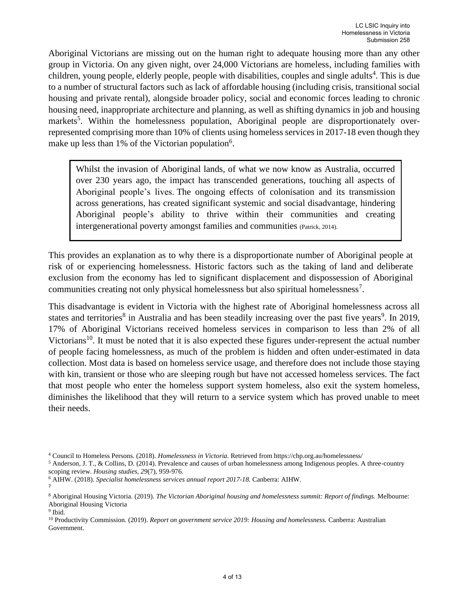Aboriginal Victorians are missing out on the human right to adequate housing more than any other group in Victoria. On any given night, over 24,000 Victorians are homeless, including families with children, young people, elderly people, people with disabilities, couples and single adults 4 . This is due to a number of structural factors such as lack of affordable housing (including crisis, transitional social housing and private rental), alongside broader policy, social and economic forces leading to chronic housing need, inappropriate architecture and planning, as well as shifting dynamics in job and housing markets<sup>5</sup>. Within the homelessness population, Aboriginal people are disproportionately overrepresented comprising more than 10% of clients using homeless services in 2017-18 even though they make up less than 1% of the Victorian population<sup>6</sup>.

Whilst the invasion of Aboriginal lands, of what we now know as Australia, occurred over 230 years ago, the impact has transcended generations, touching all aspects of Aboriginal people's lives. The ongoing effects of colonisation and its transmission across generations, has created significant systemic and social disadvantage, hindering Aboriginal people's ability to thrive within their communities and creating intergenerational poverty amongst families and communities (Patrick, 2014).

This provides an explanation as to why there is a disproportionate number of Aboriginal people at risk of or experiencing homelessness. Historic factors such as the taking of land and deliberate exclusion from the economy has led to significant displacement and dispossession of Aboriginal communities creating not only physical homelessness but also spiritual homelessness<sup>7</sup>.

This disadvantage is evident in Victoria with the highest rate of Aboriginal homelessness across all states and territories<sup>8</sup> in Australia and has been steadily increasing over the past five years<sup>9</sup>. In 2019, 17% of Aboriginal Victorians received homeless services in comparison to less than 2% of all Victorians<sup>10</sup>. It must be noted that it is also expected these figures under-represent the actual number of people facing homelessness, as much of the problem is hidden and often under-estimated in data collection. Most data is based on homeless service usage, and therefore does not include those staying with kin, transient or those who are sleeping rough but have not accessed homeless services. The fact that most people who enter the homeless support system homeless, also exit the system homeless, diminishes the likelihood that they will return to a service system which has proved unable to meet their needs.

<sup>4</sup> Council to Homeless Persons. (2018). *Homelessness in Victoria.* Retrieved from https://chp.org.au/homelessness/

<sup>5</sup> Anderson, J. T., & Collins, D. (2014). Prevalence and causes of urban homelessness among Indigenous peoples. A three-country scoping review. *Housing studies, 29*(7), 959-976.

<sup>6</sup> AIHW. (2018). *Specialist homelessness services annual report 2017-18.* Canberra: AIHW. 7

<sup>8</sup> Aboriginal Housing Victoria. (2019). *The Victorian Aboriginal housing and homelessness summit: Report of findings.* Melbourne: Aboriginal Housing Victoria

<sup>&</sup>lt;sup>9</sup> Ibid.

<sup>10</sup> Productivity Commission. (2019). *Report on government service 2019: Housing and homelessness.* Canberra: Australian Government.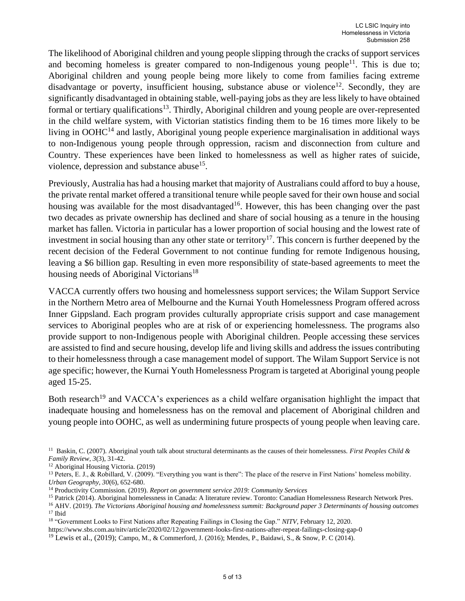The likelihood of Aboriginal children and young people slipping through the cracks of support services and becoming homeless is greater compared to non-Indigenous young people<sup>11</sup>. This is due to; Aboriginal children and young people being more likely to come from families facing extreme disadvantage or poverty, insufficient housing, substance abuse or violence<sup>12</sup>. Secondly, they are significantly disadvantaged in obtaining stable, well-paying jobs as they are less likely to have obtained formal or tertiary qualifications<sup>13</sup>. Thirdly, Aboriginal children and young people are over-represented in the child welfare system, with Victorian statistics finding them to be 16 times more likely to be living in  $OOHC<sup>14</sup>$  and lastly, Aboriginal young people experience marginalisation in additional ways to non-Indigenous young people through oppression, racism and disconnection from culture and Country. These experiences have been linked to homelessness as well as higher rates of suicide, violence, depression and substance abuse<sup>15</sup>.

Previously, Australia has had a housing market that majority of Australians could afford to buy a house, the private rental market offered a transitional tenure while people saved for their own house and social housing was available for the most disadvantaged<sup>16</sup>. However, this has been changing over the past two decades as private ownership has declined and share of social housing as a tenure in the housing market has fallen. Victoria in particular has a lower proportion of social housing and the lowest rate of investment in social housing than any other state or territory<sup>17</sup>. This concern is further deepened by the recent decision of the Federal Government to not continue funding for remote Indigenous housing, leaving a \$6 billion gap. Resulting in even more responsibility of state-based agreements to meet the housing needs of Aboriginal Victorians<sup>18</sup>

VACCA currently offers two housing and homelessness support services; the Wilam Support Service in the Northern Metro area of Melbourne and the Kurnai Youth Homelessness Program offered across Inner Gippsland. Each program provides culturally appropriate crisis support and case management services to Aboriginal peoples who are at risk of or experiencing homelessness. The programs also provide support to non-Indigenous people with Aboriginal children. People accessing these services are assisted to find and secure housing, develop life and living skills and address the issues contributing to their homelessness through a case management model of support. The Wilam Support Service is not age specific; however, the Kurnai Youth Homelessness Program is targeted at Aboriginal young people aged 15-25.

Both research<sup>19</sup> and VACCA's experiences as a child welfare organisation highlight the impact that inadequate housing and homelessness has on the removal and placement of Aboriginal children and young people into OOHC, as well as undermining future prospects of young people when leaving care.

<sup>&</sup>lt;sup>11</sup> Baskin, C. (2007). Aboriginal youth talk about structural determinants as the causes of their homelessness. *First Peoples Child & Family Review, 3*(3), 31-42.

<sup>12</sup> Aboriginal Housing Victoria. (2019)

<sup>&</sup>lt;sup>13</sup> Peters, E. J., & Robillard, V. (2009). "Everything you want is there": The place of the reserve in First Nations' homeless mobility. *Urban Geography, 30*(6), 652-680.

<sup>14</sup> Productivity Commission. (2019). *Report on government service 2019: Community Services*

<sup>15</sup> Patrick (2014). Aboriginal homelessness in Canada: A literature review. Toronto: Canadian Homelessness Research Network Pres.

<sup>16</sup> AHV. (2019). *The Victorians Aboriginal housing and homelessness summit: Background paper 3 Determinants of housing outcomes*  $17$  Ibid

<sup>18</sup> "Government Looks to First Nations after Repeating Failings in Closing the Gap." *NITV,* February 12, 2020.

https://www.sbs.com.au/nitv/article/2020/02/12/government-looks-first-nations-after-repeat-failings-closing-gap-0

<sup>&</sup>lt;sup>19</sup> Lewis et al., (2019); Campo, M., & Commerford, J. (2016); Mendes, P., Baidawi, S., & Snow, P. C (2014).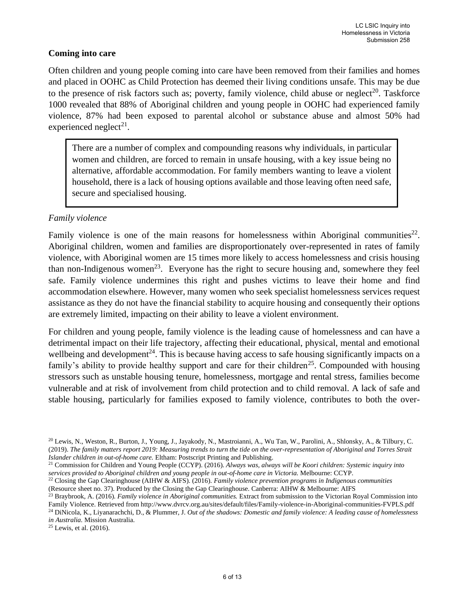### **Coming into care**

Often children and young people coming into care have been removed from their families and homes and placed in OOHC as Child Protection has deemed their living conditions unsafe. This may be due to the presence of risk factors such as; poverty, family violence, child abuse or neglect<sup>20</sup>. Taskforce 1000 revealed that 88% of Aboriginal children and young people in OOHC had experienced family violence, 87% had been exposed to parental alcohol or substance abuse and almost 50% had experienced neglect<sup>21</sup>.

There are a number of complex and compounding reasons why individuals, in particular women and children, are forced to remain in unsafe housing, with a key issue being no alternative, affordable accommodation. For family members wanting to leave a violent household, there is a lack of housing options available and those leaving often need safe, secure and specialised housing.

### *Family violence*

Family violence is one of the main reasons for homelessness within Aboriginal communities<sup>22</sup>. Aboriginal children, women and families are disproportionately over-represented in rates of family violence, with Aboriginal women are 15 times more likely to access homelessness and crisis housing than non-Indigenous women<sup>23</sup>. Everyone has the right to secure housing and, somewhere they feel safe. Family violence undermines this right and pushes victims to leave their home and find accommodation elsewhere. However, many women who seek specialist homelessness services request assistance as they do not have the financial stability to acquire housing and consequently their options are extremely limited, impacting on their ability to leave a violent environment.

For children and young people, family violence is the leading cause of homelessness and can have a detrimental impact on their life trajectory, affecting their educational, physical, mental and emotional wellbeing and development<sup>24</sup>. This is because having access to safe housing significantly impacts on a family's ability to provide healthy support and care for their children<sup>25</sup>. Compounded with housing stressors such as unstable housing tenure, homelessness, mortgage and rental stress, families become vulnerable and at risk of involvement from child protection and to child removal. A lack of safe and stable housing, particularly for families exposed to family violence, contributes to both the over-

<sup>25</sup> Lewis, et al. (2016).

<sup>20</sup> Lewis, N., Weston, R., Burton, J., Young, J., Jayakody, N., Mastroianni, A., Wu Tan, W., Parolini, A., Shlonsky, A., & Tilbury, C. (2019). *The family matters report 2019: Measuring trends to turn the tide on the over-representation of Aboriginal and Torres Strait Islander children in out-of-home care.* Eltham: Postscript Printing and Publishing.

<sup>21</sup> Commission for Children and Young People (CCYP). (2016). *Always was, always will be Koori children: Systemic inquiry into services provided to Aboriginal children and young people in out-of-home care in Victoria.* Melbourne: CCYP.

<sup>22</sup> Closing the Gap Clearinghouse (AIHW & AIFS). (2016). *Family violence prevention programs in Indigenous communities* (Resource sheet no. 37). Produced by the Closing the Gap Clearinghouse. Canberra: AIHW & Melbourne: AIFS

<sup>23</sup> Braybrook, A. (2016). *Family violence in Aboriginal communities.* Extract from submission to the Victorian Royal Commission into Family Violence. Retrieved from http://www.dvrcv.org.au/sites/default/files/Family-violence-in-Aboriginal-communities-FVPLS.pdf

<sup>24</sup> DiNicola, K., Liyanarachchi, D., & Plummer, J. *Out of the shadows: Domestic and family violence: A leading cause of homelessness in Australia.* Mission Australia.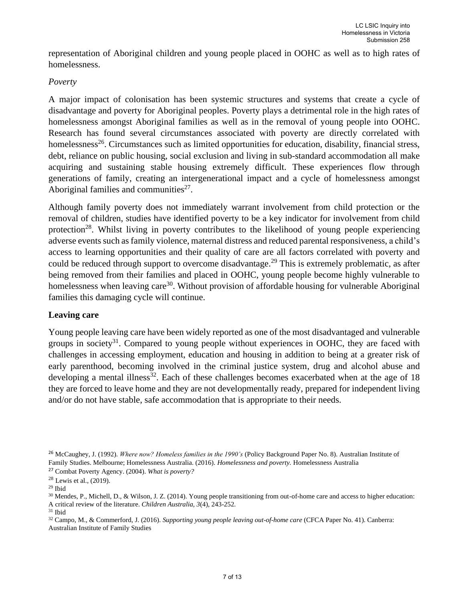representation of Aboriginal children and young people placed in OOHC as well as to high rates of homelessness.

#### *Poverty*

A major impact of colonisation has been systemic structures and systems that create a cycle of disadvantage and poverty for Aboriginal peoples. Poverty plays a detrimental role in the high rates of homelessness amongst Aboriginal families as well as in the removal of young people into OOHC. Research has found several circumstances associated with poverty are directly correlated with homelessness<sup>26</sup>. Circumstances such as limited opportunities for education, disability, financial stress, debt, reliance on public housing, social exclusion and living in sub-standard accommodation all make acquiring and sustaining stable housing extremely difficult. These experiences flow through generations of family, creating an intergenerational impact and a cycle of homelessness amongst Aboriginal families and communities $27$ .

Although family poverty does not immediately warrant involvement from child protection or the removal of children, studies have identified poverty to be a key indicator for involvement from child protection<sup>28</sup>. Whilst living in poverty contributes to the likelihood of young people experiencing adverse events such as family violence, maternal distress and reduced parental responsiveness, a child's access to learning opportunities and their quality of care are all factors correlated with poverty and could be reduced through support to overcome disadvantage.<sup>29</sup> This is extremely problematic, as after being removed from their families and placed in OOHC, young people become highly vulnerable to homelessness when leaving care<sup>30</sup>. Without provision of affordable housing for vulnerable Aboriginal families this damaging cycle will continue.

## **Leaving care**

Young people leaving care have been widely reported as one of the most disadvantaged and vulnerable groups in society<sup>31</sup>. Compared to young people without experiences in OOHC, they are faced with challenges in accessing employment, education and housing in addition to being at a greater risk of early parenthood, becoming involved in the criminal justice system, drug and alcohol abuse and developing a mental illness<sup>32</sup>. Each of these challenges becomes exacerbated when at the age of 18 they are forced to leave home and they are not developmentally ready, prepared for independent living and/or do not have stable, safe accommodation that is appropriate to their needs.

<sup>26</sup> McCaughey, J. (1992). *Where now? Homeless families in the 1990's* (Policy Background Paper No. 8). Australian Institute of Family Studies. Melbourne; Homelessness Australia. (2016). *Homelessness and poverty.* Homelessness Australia

<sup>27</sup> Combat Poverty Agency. (2004). *What is poverty?* 

<sup>28</sup> Lewis et al., (2019).

 $^{\rm 29}$  Ibid

<sup>&</sup>lt;sup>30</sup> Mendes, P., Michell, D., & Wilson, J. Z. (2014). Young people transitioning from out-of-home care and access to higher education: A critical review of the literature. *Children Australia, 3*(4), 243-252.

 $^{\rm 31}$  Ibid

<sup>32</sup> Campo, M., & Commerford, J. (2016). *Supporting young people leaving out-of-home care* (CFCA Paper No. 41). Canberra: Australian Institute of Family Studies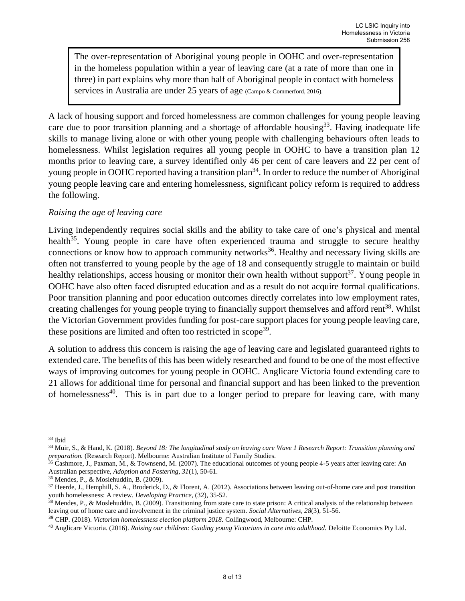The over-representation of Aboriginal young people in OOHC and over-representation in the homeless population within a year of leaving care (at a rate of more than one in three) in part explains why more than half of Aboriginal people in contact with homeless services in Australia are under 25 years of age (Campo & Commerford, 2016).

A lack of housing support and forced homelessness are common challenges for young people leaving care due to poor transition planning and a shortage of affordable housing<sup>33</sup>. Having inadequate life skills to manage living alone or with other young people with challenging behaviours often leads to homelessness. Whilst legislation requires all young people in OOHC to have a transition plan 12 months prior to leaving care, a survey identified only 46 per cent of care leavers and 22 per cent of young people in OOHC reported having a transition plan<sup>34</sup>. In order to reduce the number of Aboriginal young people leaving care and entering homelessness, significant policy reform is required to address the following.

### *Raising the age of leaving care*

Living independently requires social skills and the ability to take care of one's physical and mental health<sup>35</sup>. Young people in care have often experienced trauma and struggle to secure healthy connections or know how to approach community networks<sup>36</sup>. Healthy and necessary living skills are often not transferred to young people by the age of 18 and consequently struggle to maintain or build healthy relationships, access housing or monitor their own health without support<sup>37</sup>. Young people in OOHC have also often faced disrupted education and as a result do not acquire formal qualifications. Poor transition planning and poor education outcomes directly correlates into low employment rates, creating challenges for young people trying to financially support themselves and afford rent<sup>38</sup>. Whilst the Victorian Government provides funding for post-care support places for young people leaving care, these positions are limited and often too restricted in scope<sup>39</sup>.

A solution to address this concern is raising the age of leaving care and legislated guaranteed rights to extended care. The benefits of this has been widely researched and found to be one of the most effective ways of improving outcomes for young people in OOHC. Anglicare Victoria found extending care to 21 allows for additional time for personal and financial support and has been linked to the prevention of homelessness<sup>40</sup>. This is in part due to a longer period to prepare for leaving care, with many

<sup>36</sup> Mendes, P., & Moslehuddin, B. (2009).

<sup>39</sup> CHP. (2018). *Victorian homelessness election platform 2018.* Collingwood, Melbourne: CHP.

<sup>40</sup> Anglicare Victoria. (2016). *Raising our children: Guiding young Victorians in care into adulthood.* Deloitte Economics Pty Ltd.

<sup>33</sup> Ibid

<sup>34</sup> Muir, S., & Hand, K. (2018). *Beyond 18: The longitudinal study on leaving care Wave 1 Research Report: Transition planning and preparation.* (Research Report). Melbourne: Australian Institute of Family Studies.

 $35$  Cashmore, J., Paxman, M., & Townsend, M. (2007). The educational outcomes of young people 4-5 years after leaving care: An Australian perspective, *Adoption and Fostering, 31*(1), 50-61.

<sup>37</sup> Heerde, J., Hemphill, S. A., Broderick, D., & Florent, A. (2012). Associations between leaving out-of-home care and post transition youth homelessness: A review. *Developing Practice,* (32), 35-52.

 $38$  Mendes, P., & Moslehuddin, B. (2009). Transitioning from state care to state prison: A critical analysis of the relationship between leaving out of home care and involvement in the criminal justice system. *Social Alternatives, 28*(3), 51-56.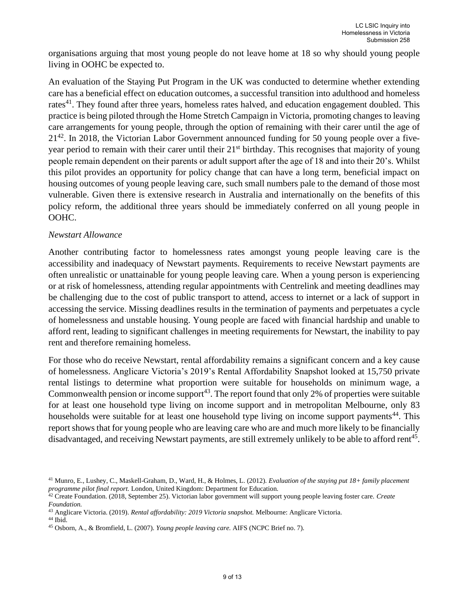organisations arguing that most young people do not leave home at 18 so why should young people living in OOHC be expected to.

An evaluation of the Staying Put Program in the UK was conducted to determine whether extending care has a beneficial effect on education outcomes, a successful transition into adulthood and homeless rates $^{41}$ . They found after three years, homeless rates halved, and education engagement doubled. This practice is being piloted through the Home Stretch Campaign in Victoria, promoting changes to leaving care arrangements for young people, through the option of remaining with their carer until the age of  $21<sup>42</sup>$ . In 2018, the Victorian Labor Government announced funding for 50 young people over a fiveyear period to remain with their carer until their 21<sup>st</sup> birthday. This recognises that majority of young people remain dependent on their parents or adult support after the age of 18 and into their 20's. Whilst this pilot provides an opportunity for policy change that can have a long term, beneficial impact on housing outcomes of young people leaving care, such small numbers pale to the demand of those most vulnerable. Given there is extensive research in Australia and internationally on the benefits of this policy reform, the additional three years should be immediately conferred on all young people in OOHC.

### *Newstart Allowance*

Another contributing factor to homelessness rates amongst young people leaving care is the accessibility and inadequacy of Newstart payments. Requirements to receive Newstart payments are often unrealistic or unattainable for young people leaving care. When a young person is experiencing or at risk of homelessness, attending regular appointments with Centrelink and meeting deadlines may be challenging due to the cost of public transport to attend, access to internet or a lack of support in accessing the service. Missing deadlines results in the termination of payments and perpetuates a cycle of homelessness and unstable housing. Young people are faced with financial hardship and unable to afford rent, leading to significant challenges in meeting requirements for Newstart, the inability to pay rent and therefore remaining homeless.

For those who do receive Newstart, rental affordability remains a significant concern and a key cause of homelessness. Anglicare Victoria's 2019's Rental Affordability Snapshot looked at 15,750 private rental listings to determine what proportion were suitable for households on minimum wage, a Commonwealth pension or income support<sup>43</sup>. The report found that only 2% of properties were suitable for at least one household type living on income support and in metropolitan Melbourne, only 83 households were suitable for at least one household type living on income support payments<sup>44</sup>. This report shows that for young people who are leaving care who are and much more likely to be financially disadvantaged, and receiving Newstart payments, are still extremely unlikely to be able to afford rent<sup>45</sup>.

<sup>41</sup> Munro, E., Lushey, C., Maskell-Graham, D., Ward, H., & Holmes, L. (2012). *Evaluation of the staying put 18+ family placement programme pilot final report.* London, United Kingdom: Department for Education.

<sup>42</sup> Create Foundation. (2018, September 25). Victorian labor government will support young people leaving foster care. *Create Foundation.*

<sup>43</sup> Anglicare Victoria. (2019). *Rental affordability: 2019 Victoria snapshot.* Melbourne: Anglicare Victoria.  $^{44}$  Ibid.

<sup>45</sup> Osborn, A., & Bromfield, L. (2007). *Young people leaving care.* AIFS (NCPC Brief no. 7).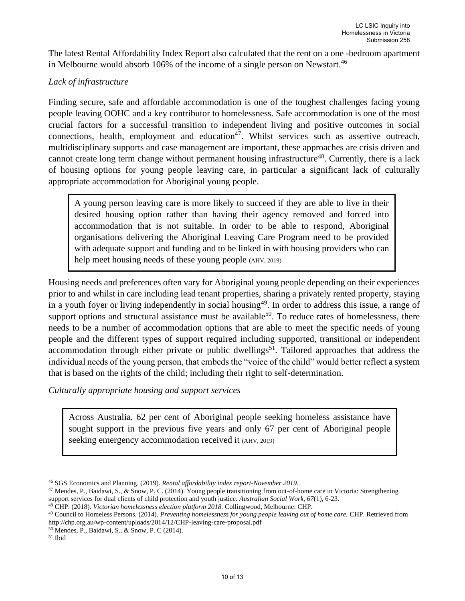The latest Rental Affordability Index Report also calculated that the rent on a one -bedroom apartment in Melbourne would absorb 106% of the income of a single person on Newstart.<sup>46</sup>

## *Lack of infrastructure*

Finding secure, safe and affordable accommodation is one of the toughest challenges facing young people leaving OOHC and a key contributor to homelessness. Safe accommodation is one of the most crucial factors for a successful transition to independent living and positive outcomes in social connections, health, employment and education<sup>47</sup>. Whilst services such as assertive outreach, multidisciplinary supports and case management are important, these approaches are crisis driven and cannot create long term change without permanent housing infrastructure<sup>48</sup>. Currently, there is a lack of housing options for young people leaving care, in particular a significant lack of culturally appropriate accommodation for Aboriginal young people.

A young person leaving care is more likely to succeed if they are able to live in their desired housing option rather than having their agency removed and forced into accommodation that is not suitable. In order to be able to respond, Aboriginal organisations delivering the Aboriginal Leaving Care Program need to be provided with adequate support and funding and to be linked in with housing providers who can help meet housing needs of these young people (AHV, 2019)

Housing needs and preferences often vary for Aboriginal young people depending on their experiences prior to and whilst in care including lead tenant properties, sharing a privately rented property, staying in a youth foyer or living independently in social housing<sup>49</sup>. In order to address this issue, a range of support options and structural assistance must be available<sup>50</sup>. To reduce rates of homelessness, there needs to be a number of accommodation options that are able to meet the specific needs of young people and the different types of support required including supported, transitional or independent accommodation through either private or public dwellings<sup>51</sup>. Tailored approaches that address the individual needs of the young person, that embeds the "voice of the child" would better reflect a system that is based on the rights of the child; including their right to self-determination.

*Culturally appropriate housing and support services*

Across Australia, 62 per cent of Aboriginal people seeking homeless assistance have sought support in the previous five years and only 67 per cent of Aboriginal people seeking emergency accommodation received it (AHV, 2019)

 $^{\rm 51}$  Ibid

<sup>46</sup> SGS Economics and Planning. (2019). *Rental affordability index report-November 2019.*

<sup>47</sup> Mendes, P., Baidawi, S., & Snow, P. C. (2014). Young people transitioning from out-of-home care in Victoria: Strengthening support services for dual clients of child protection and youth justice. *Australian Social Work, 67*(1), 6-23.

<sup>48</sup> CHP. (2018). *Victorian homelessness election platform 2018.* Collingwood, Melbourne: CHP.

<sup>49</sup> Council to Homeless Persons. (2014). *Preventing homelessness for young people leaving out of home care.* CHP. Retrieved from http://chp.org.au/wp-content/uploads/2014/12/CHP-leaving-care-proposal.pdf

<sup>50</sup> Mendes, P., Baidawi, S., & Snow, P. C (2014).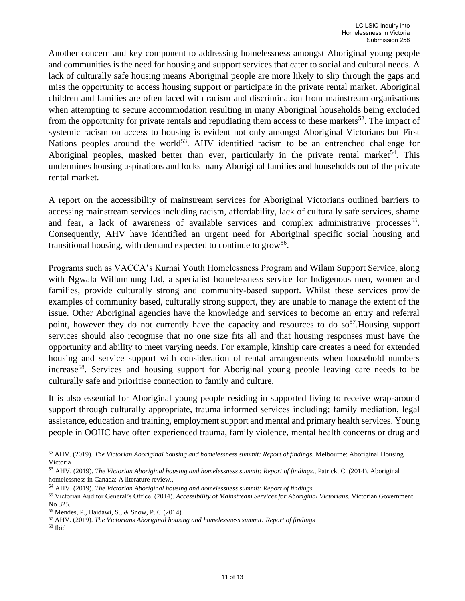Another concern and key component to addressing homelessness amongst Aboriginal young people and communities is the need for housing and support services that cater to social and cultural needs. A lack of culturally safe housing means Aboriginal people are more likely to slip through the gaps and miss the opportunity to access housing support or participate in the private rental market. Aboriginal children and families are often faced with racism and discrimination from mainstream organisations when attempting to secure accommodation resulting in many Aboriginal households being excluded from the opportunity for private rentals and repudiating them access to these markets<sup>52</sup>. The impact of systemic racism on access to housing is evident not only amongst Aboriginal Victorians but First Nations peoples around the world<sup>53</sup>. AHV identified racism to be an entrenched challenge for Aboriginal peoples, masked better than ever, particularly in the private rental market<sup>54</sup>. This undermines housing aspirations and locks many Aboriginal families and households out of the private rental market.

A report on the accessibility of mainstream services for Aboriginal Victorians outlined barriers to accessing mainstream services including racism, affordability, lack of culturally safe services, shame and fear, a lack of awareness of available services and complex administrative processes<sup>55</sup>. Consequently, AHV have identified an urgent need for Aboriginal specific social housing and transitional housing, with demand expected to continue to grow<sup>56</sup>.

Programs such as VACCA's Kurnai Youth Homelessness Program and Wilam Support Service, along with Ngwala Willumbung Ltd, a specialist homelessness service for Indigenous men, women and families, provide culturally strong and community-based support. Whilst these services provide examples of community based, culturally strong support, they are unable to manage the extent of the issue. Other Aboriginal agencies have the knowledge and services to become an entry and referral point, however they do not currently have the capacity and resources to do so<sup>57</sup>. Housing support services should also recognise that no one size fits all and that housing responses must have the opportunity and ability to meet varying needs. For example, kinship care creates a need for extended housing and service support with consideration of rental arrangements when household numbers increase<sup>58</sup>. Services and housing support for Aboriginal young people leaving care needs to be culturally safe and prioritise connection to family and culture.

It is also essential for Aboriginal young people residing in supported living to receive wrap-around support through culturally appropriate, trauma informed services including; family mediation, legal assistance, education and training, employment support and mental and primary health services. Young people in OOHC have often experienced trauma, family violence, mental health concerns or drug and

<sup>52</sup> AHV. (2019). *The Victorian Aboriginal housing and homelessness summit: Report of findings.* Melbourne: Aboriginal Housing Victoria

<sup>&</sup>lt;sup>53</sup> AHV. (2019). *The Victorian Aboriginal housing and homelessness summit: Report of findings.*, Patrick, C. (2014). Aboriginal homelessness in Canada: A literature review.,

<sup>54</sup> AHV. (2019). *The Victorian Aboriginal housing and homelessness summit: Report of findings*

<sup>55</sup> Victorian Auditor General's Office. (2014). *Accessibility of Mainstream Services for Aboriginal Victorians.* Victorian Government. No 325.

<sup>56</sup> Mendes, P., Baidawi, S., & Snow, P. C (2014).

<sup>57</sup> AHV. (2019). *The Victorians Aboriginal housing and homelessness summit: Report of findings*

<sup>58</sup> Ibid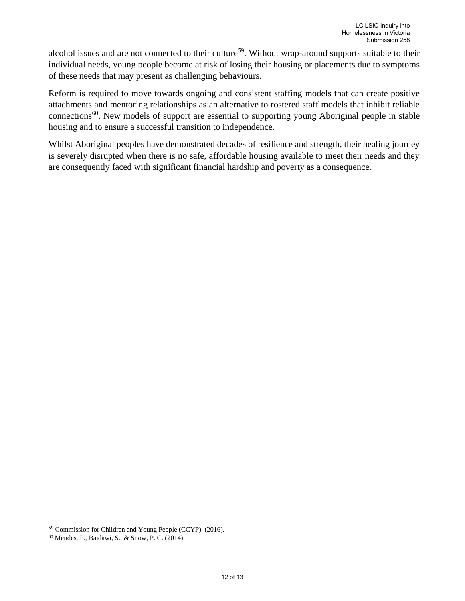alcohol issues and are not connected to their culture<sup>59</sup>. Without wrap-around supports suitable to their individual needs, young people become at risk of losing their housing or placements due to symptoms of these needs that may present as challenging behaviours.

Reform is required to move towards ongoing and consistent staffing models that can create positive attachments and mentoring relationships as an alternative to rostered staff models that inhibit reliable connections<sup>60</sup>. New models of support are essential to supporting young Aboriginal people in stable housing and to ensure a successful transition to independence.

Whilst Aboriginal peoples have demonstrated decades of resilience and strength, their healing journey is severely disrupted when there is no safe, affordable housing available to meet their needs and they are consequently faced with significant financial hardship and poverty as a consequence.

<sup>59</sup> Commission for Children and Young People (CCYP). (2016).

<sup>60</sup> Mendes, P., Baidawi, S., & Snow, P. C. (2014).